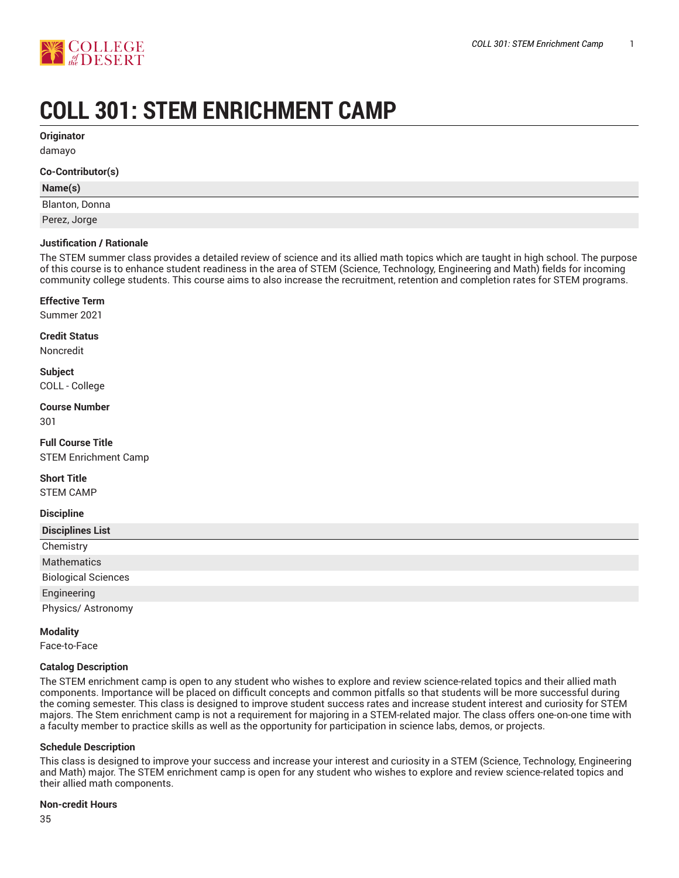

# **COLL 301: STEM ENRICHMENT CAMP**

**Originator**

damayo

#### **Co-Contributor(s)**

#### **Name(s)**

Blanton, Donna

Perez, Jorge

#### **Justification / Rationale**

The STEM summer class provides a detailed review of science and its allied math topics which are taught in high school. The purpose of this course is to enhance student readiness in the area of STEM (Science, Technology, Engineering and Math) fields for incoming community college students. This course aims to also increase the recruitment, retention and completion rates for STEM programs.

#### **Effective Term**

Summer 2021

#### **Credit Status**

Noncredit

# **Subject**

COLL - College

#### **Course Number** 301

**Full Course Title**

STEM Enrichment Camp

#### **Short Title**

STEM CAMP

#### **Discipline**

| <b>Disciplines List</b>    |
|----------------------------|
| Chemistry                  |
| Mathematics                |
| <b>Biological Sciences</b> |
| Engineering                |
| Physics/ Astronomy         |

#### **Modality**

Face-to-Face

#### **Catalog Description**

The STEM enrichment camp is open to any student who wishes to explore and review science-related topics and their allied math components. Importance will be placed on difficult concepts and common pitfalls so that students will be more successful during the coming semester. This class is designed to improve student success rates and increase student interest and curiosity for STEM majors. The Stem enrichment camp is not a requirement for majoring in a STEM-related major. The class offers one-on-one time with a faculty member to practice skills as well as the opportunity for participation in science labs, demos, or projects.

#### **Schedule Description**

This class is designed to improve your success and increase your interest and curiosity in a STEM (Science, Technology, Engineering and Math) major. The STEM enrichment camp is open for any student who wishes to explore and review science-related topics and their allied math components.

#### **Non-credit Hours**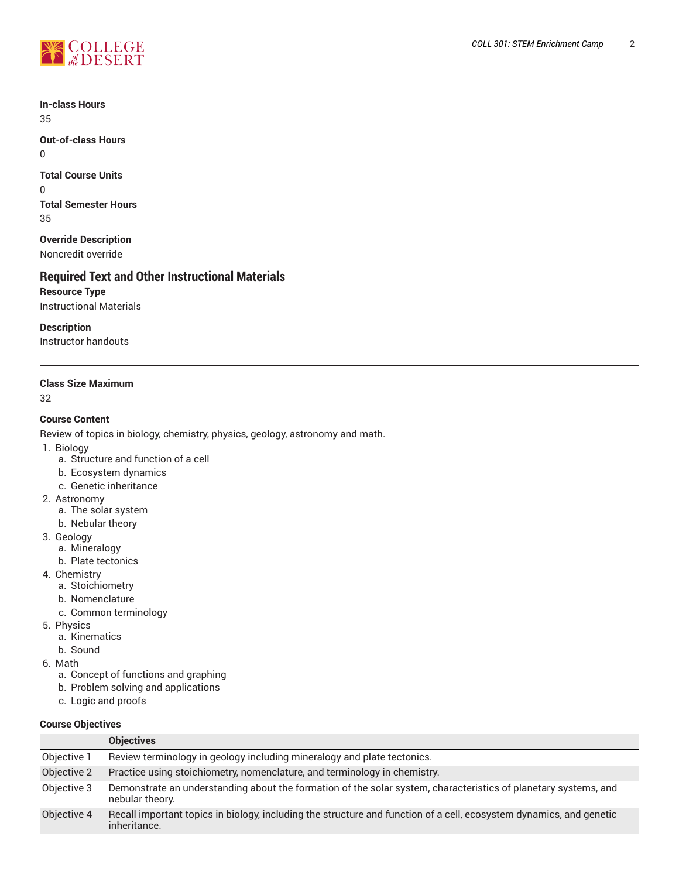

**In-class Hours** 35

**Out-of-class Hours** 0

**Total Course Units** 0 **Total Semester Hours**

35

**Override Description** Noncredit override

# **Required Text and Other Instructional Materials**

**Resource Type** Instructional Materials

**Description**

Instructor handouts

# **Class Size Maximum**

32

# **Course Content**

Review of topics in biology, chemistry, physics, geology, astronomy and math.

- 1. Biology
	- a. Structure and function of a cell
	- b. Ecosystem dynamics
	- c. Genetic inheritance
- 2. Astronomy
	- a. The solar system
	- b. Nebular theory
- 3. Geology
	- a. Mineralogy
	- b. Plate tectonics
- 4. Chemistry
	- a. Stoichiometry
	- b. Nomenclature
	- c. Common terminology
- 5. Physics
	- a. Kinematics
	- b. Sound
- 6. Math
	- a. Concept of functions and graphing
	- b. Problem solving and applications
	- c. Logic and proofs

# **Course Objectives**

|             | <b>Objectives</b>                                                                                                                   |
|-------------|-------------------------------------------------------------------------------------------------------------------------------------|
| Objective 1 | Review terminology in geology including mineralogy and plate tectonics.                                                             |
| Objective 2 | Practice using stoichiometry, nomenclature, and terminology in chemistry.                                                           |
| Objective 3 | Demonstrate an understanding about the formation of the solar system, characteristics of planetary systems, and<br>nebular theory.  |
| Objective 4 | Recall important topics in biology, including the structure and function of a cell, ecosystem dynamics, and genetic<br>inheritance. |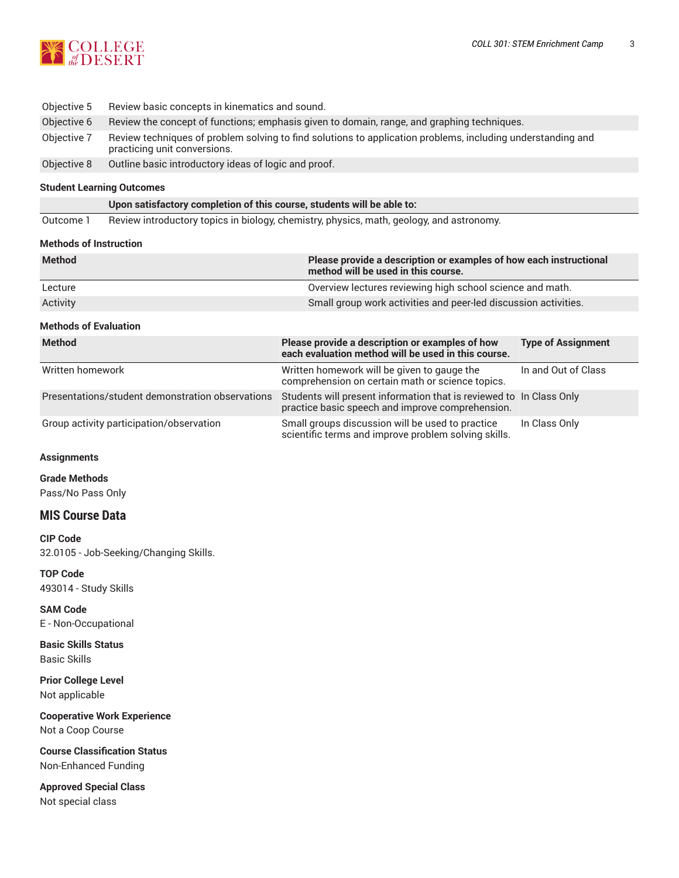

- Objective 5 Review basic concepts in kinematics and sound.
- Objective 6 Review the concept of functions; emphasis given to domain, range, and graphing techniques.
- Objective 7 Review techniques of problem solving to find solutions to application problems, including understanding and practicing unit conversions.
- Objective 8 Outline basic introductory ideas of logic and proof.

#### **Student Learning Outcomes**

**Upon satisfactory completion of this course, students will be able to:**

Outcome 1 Review introductory topics in biology, chemistry, physics, math, geology, and astronomy.

#### **Methods of Instruction**

| <b>Method</b>                                    | Please provide a description or examples of how each instructional<br>method will be used in this course.               |                           |
|--------------------------------------------------|-------------------------------------------------------------------------------------------------------------------------|---------------------------|
| Lecture                                          | Overview lectures reviewing high school science and math.                                                               |                           |
| Activity                                         | Small group work activities and peer-led discussion activities.                                                         |                           |
| <b>Methods of Evaluation</b>                     |                                                                                                                         |                           |
| <b>Method</b>                                    | Please provide a description or examples of how<br>each evaluation method will be used in this course.                  | <b>Type of Assignment</b> |
| Written homework                                 | Written homework will be given to gauge the<br>comprehension on certain math or science topics.                         | In and Out of Class       |
| Presentations/student demonstration observations | Students will present information that is reviewed to In Class Only<br>practice basic speech and improve comprehension. |                           |
| Group activity participation/observation         | Small groups discussion will be used to practice                                                                        | In Class Only             |

scientific terms and improve problem solving skills.

# **Assignments**

**Grade Methods**

Pass/No Pass Only

# **MIS Course Data**

**CIP Code** 32.0105 - Job-Seeking/Changing Skills.

**TOP Code** 493014 - Study Skills

**SAM Code** E - Non-Occupational

**Basic Skills Status** Basic Skills

**Prior College Level** Not applicable

**Cooperative Work Experience** Not a Coop Course

**Course Classification Status** Non-Enhanced Funding

**Approved Special Class** Not special class